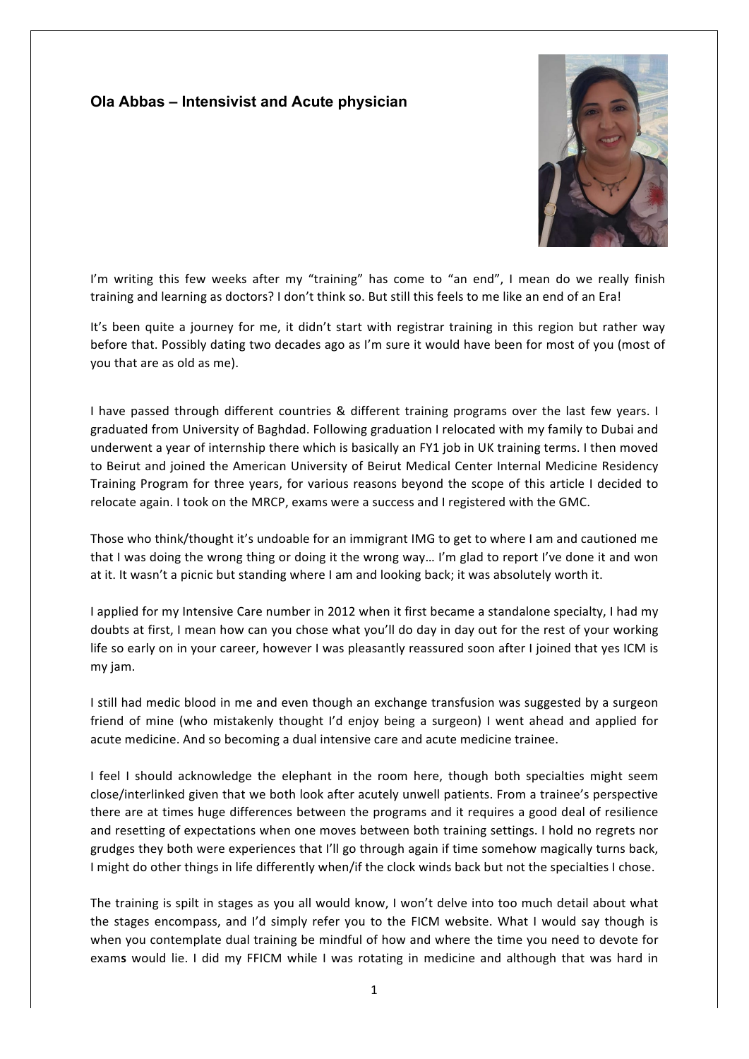## **Ola Abbas – Intensivist and Acute physician**



I'm writing this few weeks after my "training" has come to "an end", I mean do we really finish training and learning as doctors? I don't think so. But still this feels to me like an end of an Era!

It's been quite a journey for me, it didn't start with registrar training in this region but rather way before that. Possibly dating two decades ago as I'm sure it would have been for most of you (most of you that are as old as me).

I have passed through different countries & different training programs over the last few years. I graduated from University of Baghdad. Following graduation I relocated with my family to Dubai and underwent a year of internship there which is basically an FY1 job in UK training terms. I then moved to Beirut and joined the American University of Beirut Medical Center Internal Medicine Residency Training Program for three years, for various reasons beyond the scope of this article I decided to relocate again. I took on the MRCP, exams were a success and I registered with the GMC.

Those who think/thought it's undoable for an immigrant IMG to get to where I am and cautioned me that I was doing the wrong thing or doing it the wrong way... I'm glad to report I've done it and won at it. It wasn't a picnic but standing where I am and looking back; it was absolutely worth it.

I applied for my Intensive Care number in 2012 when it first became a standalone specialty, I had my doubts at first, I mean how can you chose what you'll do day in day out for the rest of your working life so early on in your career, however I was pleasantly reassured soon after I joined that yes ICM is my jam.

I still had medic blood in me and even though an exchange transfusion was suggested by a surgeon friend of mine (who mistakenly thought I'd enjoy being a surgeon) I went ahead and applied for acute medicine. And so becoming a dual intensive care and acute medicine trainee.

I feel I should acknowledge the elephant in the room here, though both specialties might seem close/interlinked given that we both look after acutely unwell patients. From a trainee's perspective there are at times huge differences between the programs and it requires a good deal of resilience and resetting of expectations when one moves between both training settings. I hold no regrets nor grudges they both were experiences that I'll go through again if time somehow magically turns back, I might do other things in life differently when/if the clock winds back but not the specialties I chose.

The training is spilt in stages as you all would know, I won't delve into too much detail about what the stages encompass, and I'd simply refer you to the FICM website. What I would say though is when you contemplate dual training be mindful of how and where the time you need to devote for exams would lie. I did my FFICM while I was rotating in medicine and although that was hard in